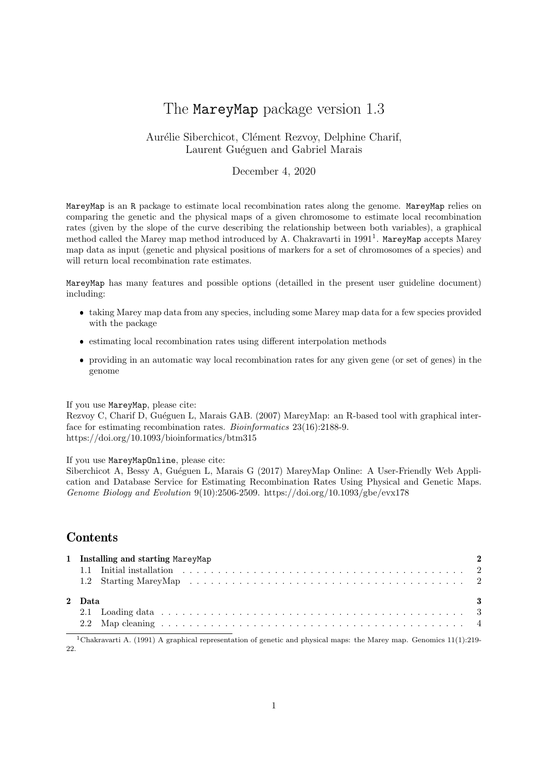# The MareyMap package version 1.3

## Aurélie Siberchicot, Clément Rezvoy, Delphine Charif, Laurent Guéguen and Gabriel Marais

### December 4, 2020

MareyMap is an R package to estimate local recombination rates along the genome. MareyMap relies on comparing the genetic and the physical maps of a given chromosome to estimate local recombination rates (given by the slope of the curve describing the relationship between both variables), a graphical method called the Marey map method introduced by A. Chakravarti in 1991<sup>1</sup>. MareyMap accepts Marey map data as input (genetic and physical positions of markers for a set of chromosomes of a species) and will return local recombination rate estimates.

MareyMap has many features and possible options (detailled in the present user guideline document) including:

- taking Marey map data from any species, including some Marey map data for a few species provided with the package
- estimating local recombination rates using different interpolation methods
- providing in an automatic way local recombination rates for any given gene (or set of genes) in the genome

#### If you use MareyMap, please cite:

Rezvoy C, Charif D, Guéguen L, Marais GAB. (2007) MareyMap: an R-based tool with graphical interface for estimating recombination rates. Bioinformatics 23(16):2188-9. https://doi.org/10.1093/bioinformatics/btm315

If you use MareyMapOnline, please cite:

Siberchicot A, Bessy A, Guéguen L, Marais G (2017) MareyMap Online: A User-Friendly Web Application and Database Service for Estimating Recombination Rates Using Physical and Genetic Maps. Genome Biology and Evolution 9(10):2506-2509. https://doi.org/10.1093/gbe/evx178

# **Contents**

|        | 1 Installing and starting MareyMap |
|--------|------------------------------------|
|        |                                    |
|        |                                    |
| 2 Data | - 3                                |
|        |                                    |
|        |                                    |
|        |                                    |

<sup>1</sup>Chakravarti A. (1991) A graphical representation of genetic and physical maps: the Marey map. Genomics 11(1):219-22.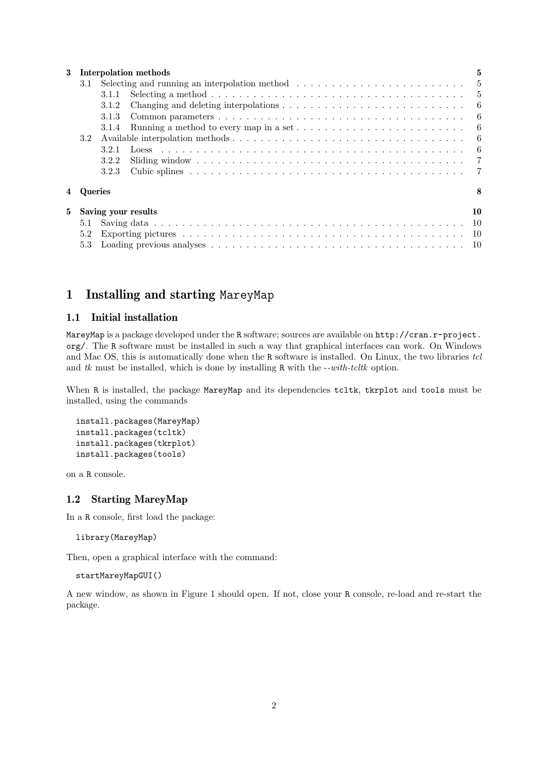| Interpolation methods<br>3         |                |                                                                                                                                     |                                                                                                |     |  |  |  |
|------------------------------------|----------------|-------------------------------------------------------------------------------------------------------------------------------------|------------------------------------------------------------------------------------------------|-----|--|--|--|
|                                    |                | 3.1 Selecting and running an interpolation method $\hfill\ldots\ldots\ldots\ldots\ldots\ldots\ldots\ldots\ldots\ldots\ldots\quad 5$ |                                                                                                |     |  |  |  |
|                                    |                | 3.1.1                                                                                                                               |                                                                                                |     |  |  |  |
|                                    |                | 3.1.2                                                                                                                               |                                                                                                |     |  |  |  |
|                                    |                | 3.1.3                                                                                                                               |                                                                                                |     |  |  |  |
|                                    |                | 3.1.4                                                                                                                               | Running a method to every map in a set $\dots \dots \dots \dots \dots \dots \dots \dots \dots$ | - 6 |  |  |  |
|                                    | 3.2            |                                                                                                                                     |                                                                                                |     |  |  |  |
|                                    |                | 3.2.1                                                                                                                               |                                                                                                |     |  |  |  |
|                                    |                | 3.2.2                                                                                                                               |                                                                                                |     |  |  |  |
|                                    |                | 3.2.3                                                                                                                               |                                                                                                |     |  |  |  |
| 4                                  | <b>Oueries</b> |                                                                                                                                     |                                                                                                | 8   |  |  |  |
| $5^{\circ}$<br>Saving your results |                |                                                                                                                                     |                                                                                                |     |  |  |  |
|                                    | 5.1            |                                                                                                                                     |                                                                                                |     |  |  |  |
|                                    | 5.2            |                                                                                                                                     |                                                                                                |     |  |  |  |
|                                    | 5.3            |                                                                                                                                     |                                                                                                |     |  |  |  |

# 1 Installing and starting MareyMap

### 1.1 Initial installation

MareyMap is a package developed under the R software; sources are available on http://cran.r-project. org/. The R software must be installed in such a way that graphical interfaces can work. On Windows and Mac OS, this is automatically done when the R software is installed. On Linux, the two libraries tcl and  $tk$  must be installed, which is done by installing R with the  $--with-tcltk$  option.

When R is installed, the package MareyMap and its dependencies tcltk, tkrplot and tools must be installed, using the commands

```
install.packages(MareyMap)
install.packages(tcltk)
install.packages(tkrplot)
install.packages(tools)
```
on a R console.

### 1.2 Starting MareyMap

In a R console, first load the package:

library(MareyMap)

Then, open a graphical interface with the command:

```
startMareyMapGUI()
```
A new window, as shown in Figure 1 should open. If not, close your R console, re-load and re-start the package.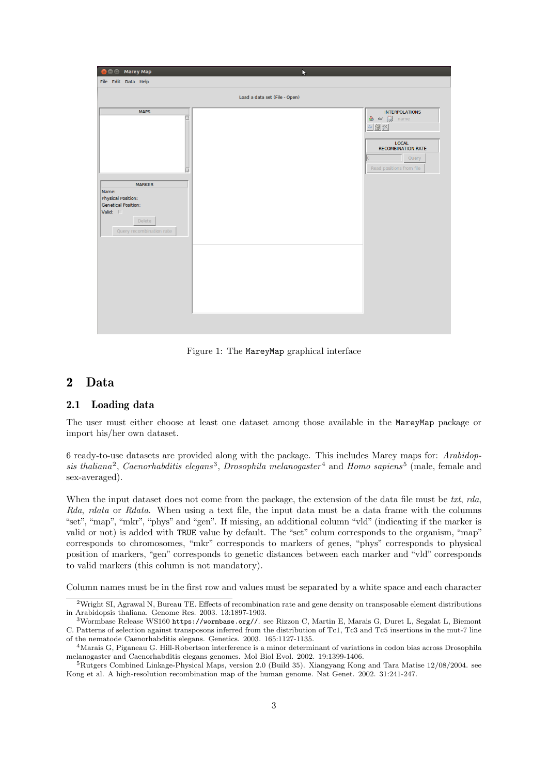| <b>Marey Map</b>                                                                       | N                                                                                     |
|----------------------------------------------------------------------------------------|---------------------------------------------------------------------------------------|
| File Edit Data Help                                                                    |                                                                                       |
|                                                                                        | Load a data set (File - Open)                                                         |
| <b>MAPS</b>                                                                            | <b>INTERPOLATIONS</b><br>$\otimes$ or $\Box$<br>name<br>$+88$                         |
|                                                                                        | <b>LOCAL</b><br><b>RECOMBINATION RATE</b><br>Query<br>lo.<br>Read positions from file |
| <b>MARKER</b><br>Name:<br>Physical Position:<br><b>Genetical Position:</b><br>Valid: I |                                                                                       |
| Delete<br>Query recombination rate                                                     |                                                                                       |
|                                                                                        |                                                                                       |
|                                                                                        |                                                                                       |
|                                                                                        |                                                                                       |

Figure 1: The MareyMap graphical interface

# 2 Data

#### 2.1 Loading data

The user must either choose at least one dataset among those available in the MareyMap package or import his/her own dataset.

6 ready-to-use datasets are provided along with the package. This includes Marey maps for: Arabidopsis thaliana<sup>2</sup>, Caenorhabditis elegans<sup>3</sup>, Drosophila melanogaster<sup>4</sup> and Homo sapiens<sup>5</sup> (male, female and sex-averaged).

When the input dataset does not come from the package, the extension of the data file must be txt, rda, Rda, rdata or Rdata. When using a text file, the input data must be a data frame with the columns "set", "map", "mkr", "phys" and "gen". If missing, an additional column "vld" (indicating if the marker is valid or not) is added with TRUE value by default. The "set" colum corresponds to the organism, "map" corresponds to chromosomes, "mkr" corresponds to markers of genes, "phys" corresponds to physical position of markers, "gen" corresponds to genetic distances between each marker and "vld" corresponds to valid markers (this column is not mandatory).

Column names must be in the first row and values must be separated by a white space and each character

<sup>&</sup>lt;sup>2</sup>Wright SI, Agrawal N, Bureau TE. Effects of recombination rate and gene density on transposable element distributions in Arabidopsis thaliana. Genome Res. 2003. 13:1897-1903.

<sup>3</sup>Wormbase Release WS160 https://wormbase.org//. see Rizzon C, Martin E, Marais G, Duret L, Segalat L, Biemont C. Patterns of selection against transposons inferred from the distribution of Tc1, Tc3 and Tc5 insertions in the mut-7 line of the nematode Caenorhabditis elegans. Genetics. 2003. 165:1127-1135.

<sup>4</sup>Marais G, Piganeau G. Hill-Robertson interference is a minor determinant of variations in codon bias across Drosophila melanogaster and Caenorhabditis elegans genomes. Mol Biol Evol. 2002. 19:1399-1406.

<sup>5</sup>Rutgers Combined Linkage-Physical Maps, version 2.0 (Build 35). Xiangyang Kong and Tara Matise 12/08/2004. see Kong et al. A high-resolution recombination map of the human genome. Nat Genet. 2002. 31:241-247.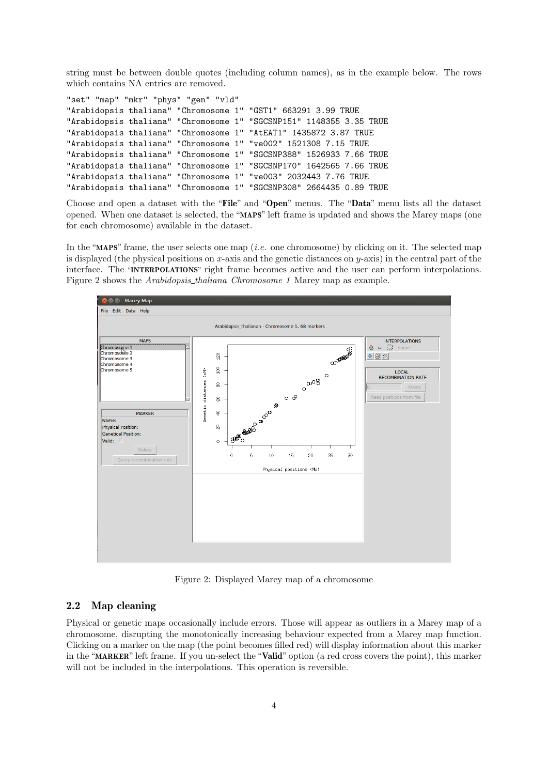string must be between double quotes (including column names), as in the example below. The rows which contains NA entries are removed.

| "set" "map" "mkr" "phys" "gen" "vld" |  |                                                                     |
|--------------------------------------|--|---------------------------------------------------------------------|
|                                      |  | "Arabidopsis thaliana" "Chromosome 1" "GST1" 663291 3.99 TRUE       |
|                                      |  | "Arabidopsis thaliana" "Chromosome 1" "SGCSNP151" 1148355 3.35 TRUE |
|                                      |  | "Arabidopsis thaliana" "Chromosome 1" "AtEAT1" 1435872 3.87 TRUE    |
|                                      |  | "Arabidopsis thaliana" "Chromosome 1" "ve002" 1521308 7.15 TRUE     |
|                                      |  | "Arabidopsis thaliana" "Chromosome 1" "SGCSNP388" 1526933 7.66 TRUE |
|                                      |  | "Arabidopsis thaliana" "Chromosome 1" "SGCSNP170" 1642565 7.66 TRUE |
|                                      |  | "Arabidopsis thaliana" "Chromosome 1" "ve003" 2032443 7.76 TRUE     |
|                                      |  | "Arabidopsis thaliana" "Chromosome 1" "SGCSNP308" 2664435 0.89 TRUE |

Choose and open a dataset with the "File" and "Open" menus. The "Data" menu lists all the dataset opened. When one dataset is selected, the "MAPS" left frame is updated and shows the Marey maps (one for each chromosome) available in the dataset.

In the "MAPS" frame, the user selects one map (*i.e.* one chromosome) by clicking on it. The selected map is displayed (the physical positions on *x*-axis and the genetic distances on *y*-axis) in the central part of the interface. The "INTERPOLATIONS" right frame becomes active and the user can perform interpolations. Figure 2 shows the Arabidopsis thaliana Chromosome 1 Marey map as example.



Figure 2: Displayed Marey map of a chromosome

### 2.2 Map cleaning

Physical or genetic maps occasionally include errors. Those will appear as outliers in a Marey map of a chromosome, disrupting the monotonically increasing behaviour expected from a Marey map function. Clicking on a marker on the map (the point becomes filled red) will display information about this marker in the "MARKER" left frame. If you un-select the "Valid" option (a red cross covers the point), this marker will not be included in the interpolations. This operation is reversible.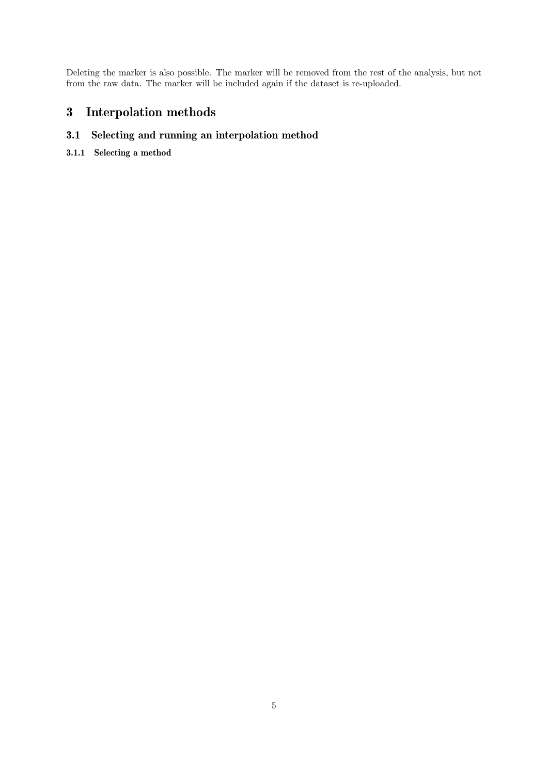Deleting the marker is also possible. The marker will be removed from the rest of the analysis, but not from the raw data. The marker will be included again if the dataset is re-uploaded.

# 3 Interpolation methods

# 3.1 Selecting and running an interpolation method

3.1.1 Selecting a method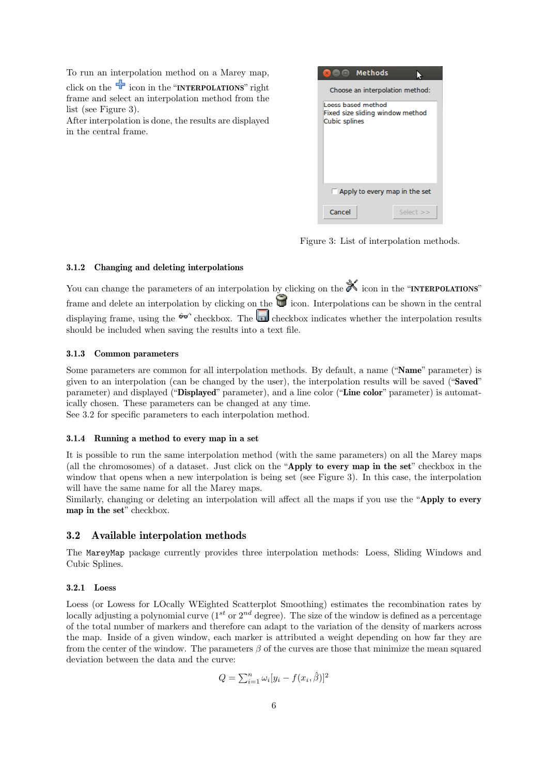To run an interpolation method on a Marey map,

click on the  $\overline{\mathbf{r}}$  icon in the "**INTERPOLATIONS**" right frame and select an interpolation method from the list (see Figure 3).

After interpolation is done, the results are displayed in the central frame.



Figure 3: List of interpolation methods.

#### 3.1.2 Changing and deleting interpolations

You can change the parameters of an interpolation by clicking on the  $\mathbb{X}$  icon in the "INTERPOLATIONS" frame and delete an interpolation by clicking on the  $\Box$  icon. Interpolations can be shown in the central displaying frame, using the  $\theta$ <sup>o</sup> checkbox. The checkbox indicates whether the interpolation results should be included when saving the results into a text file.

#### 3.1.3 Common parameters

Some parameters are common for all interpolation methods. By default, a name ("Name" parameter) is given to an interpolation (can be changed by the user), the interpolation results will be saved ("Saved" parameter) and displayed ("Displayed" parameter), and a line color ("Line color" parameter) is automatically chosen. These parameters can be changed at any time. See 3.2 for specific parameters to each interpolation method.

# 3.1.4 Running a method to every map in a set

It is possible to run the same interpolation method (with the same parameters) on all the Marey maps (all the chromosomes) of a dataset. Just click on the "Apply to every map in the set" checkbox in the window that opens when a new interpolation is being set (see Figure 3). In this case, the interpolation will have the same name for all the Marey maps.

Similarly, changing or deleting an interpolation will affect all the maps if you use the "Apply to every map in the set" checkbox.

#### 3.2 Available interpolation methods

The MareyMap package currently provides three interpolation methods: Loess, Sliding Windows and Cubic Splines.

#### 3.2.1 Loess

Loess (or Lowess for LOcally WEighted Scatterplot Smoothing) estimates the recombination rates by locally adjusting a polynomial curve (1<sup>st</sup> or  $2^{nd}$  degree). The size of the window is defined as a percentage of the total number of markers and therefore can adapt to the variation of the density of markers across the map. Inside of a given window, each marker is attributed a weight depending on how far they are from the center of the window. The parameters *β* of the curves are those that minimize the mean squared deviation between the data and the curve:

$$
= \sum_{i=1}^{n} \omega_i [y_i - f(x_i, \hat{\beta})]^2
$$

 $Q$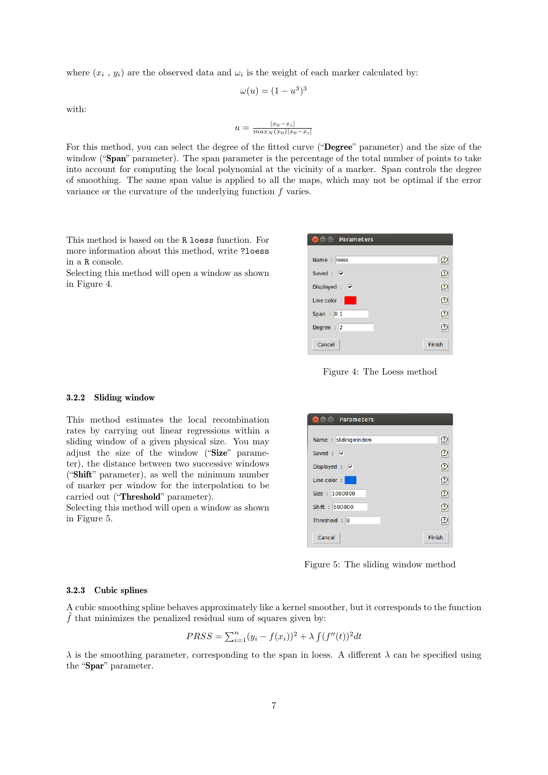where  $(x_i, y_i)$  are the observed data and  $\omega_i$  is the weight of each marker calculated by:

$$
\omega(u) = (1 - u^3)^3
$$

with:

$$
u = \frac{|x_0 - x_i|}{\max_N(x_0)|x_0 - x_i|}
$$

For this method, you can select the degree of the fitted curve ("Degree" parameter) and the size of the window ("Span" parameter). The span parameter is the percentage of the total number of points to take into account for computing the local polynomial at the vicinity of a marker. Span controls the degree of smoothing. The same span value is applied to all the maps, which may not be optimal if the error variance or the curvature of the underlying function *f* varies.

This method is based on the R loess function. For more information about this method, write ?loess in a R console.

Selecting this method will open a window as shown in Figure 4.

| <b>Reduced</b> Parameters |               |
|---------------------------|---------------|
|                           |               |
| Name : loess              | $\Omega$      |
| Saved: V                  | $\circled{2}$ |
| Displayed : $\nabla$      | Ω             |
| Line color:               | $\circled{2}$ |
| Span: $0.1$               | Ω             |
| Degree: 2                 | $\mathcal{D}$ |
| Cancel                    | Finish        |

Figure 4: The Loess method

#### 3.2.2 Sliding window

This method estimates the local recombination rates by carrying out linear regressions within a sliding window of a given physical size. You may adjust the size of the window ("Size" parameter), the distance between two successive windows ("Shift" parameter), as well the minimum number of marker per window for the interpolation to be carried out ("Threshold" parameter).

Selecting this method will open a window as shown in Figure 5.

| <b>2000</b> Parameters |          |
|------------------------|----------|
|                        |          |
| Name: slidingwindow    | Ը        |
| Saved: $\nabla$        | $\Omega$ |
| Displayed : $\nabla$   | D        |
| Line color:            | O        |
| Size: 1000000          | C        |
| Shift: 500000          | $\Omega$ |
| Threshold: 8           | Ω        |
| Cancel                 | Finish   |

Figure 5: The sliding window method

#### 3.2.3 Cubic splines

A cubic smoothing spline behaves approximately like a kernel smoother, but it corresponds to the function  $\hat{f}$  that minimizes the penalized residual sum of squares given by:

$$
PRSS = \sum_{i=1}^{n} (y_i - f(x_i))^2 + \lambda \int (f''(t))^2 dt
$$

 $λ$  is the smoothing parameter, corresponding to the span in loess. A different  $λ$  can be specified using the "Spar" parameter.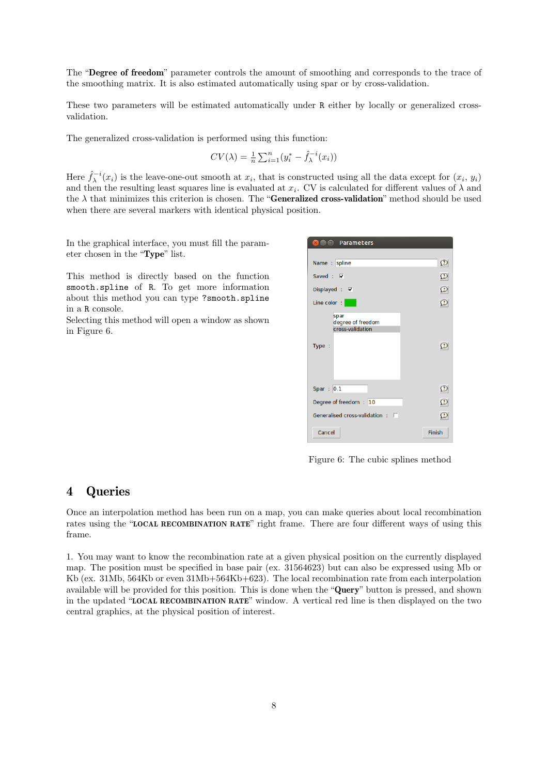The "Degree of freedom" parameter controls the amount of smoothing and corresponds to the trace of the smoothing matrix. It is also estimated automatically using spar or by cross-validation.

These two parameters will be estimated automatically under R either by locally or generalized crossvalidation.

The generalized cross-validation is performed using this function:

$$
CV(\lambda) = \frac{1}{n} \sum_{i=1}^{n} (y_i^* - \hat{f}_{\lambda}^{-i}(x_i))
$$

Here  $\hat{f}_{\lambda}^{-i}(x_i)$  is the leave-one-out smooth at  $x_i$ , that is constructed using all the data except for  $(x_i, y_i)$ and then the resulting least squares line is evaluated at  $x_i$ . CV is calculated for different values of  $\lambda$  and the  $\lambda$  that minimizes this criterion is chosen. The "**Generalized cross-validation**" method should be used when there are several markers with identical physical position.

In the graphical interface, you must fill the parameter chosen in the "Type" list.

This method is directly based on the function smooth.spline of R. To get more information about this method you can type ?smooth.spline in a R console.

Selecting this method will open a window as shown in Figure 6.



Figure 6: The cubic splines method

## 4 Queries

Once an interpolation method has been run on a map, you can make queries about local recombination rates using the "LOCAL RECOMBINATION RATE" right frame. There are four different ways of using this frame.

1. You may want to know the recombination rate at a given physical position on the currently displayed map. The position must be specified in base pair (ex. 31564623) but can also be expressed using Mb or Kb (ex. 31Mb, 564Kb or even 31Mb+564Kb+623). The local recombination rate from each interpolation available will be provided for this position. This is done when the "Query" button is pressed, and shown in the updated "LOCAL RECOMBINATION RATE" window. A vertical red line is then displayed on the two central graphics, at the physical position of interest.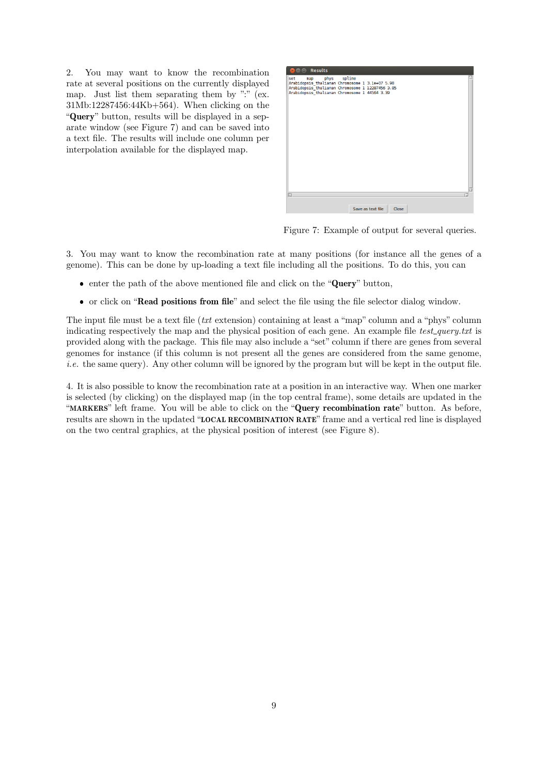2. You may want to know the recombination rate at several positions on the currently displayed map. Just list them separating them by ":" (ex. 31Mb:12287456:44Kb+564). When clicking on the "Query" button, results will be displayed in a separate window (see Figure 7) and can be saved into a text file. The results will include one column per interpolation available for the displayed map.



Figure 7: Example of output for several queries.

3. You may want to know the recombination rate at many positions (for instance all the genes of a genome). This can be done by up-loading a text file including all the positions. To do this, you can

- enter the path of the above mentioned file and click on the "Query" button,
- or click on "Read positions from file" and select the file using the file selector dialog window.

The input file must be a text file (txt extension) containing at least a "map" column and a "phys" column indicating respectively the map and the physical position of each gene. An example file test query.txt is provided along with the package. This file may also include a "set" column if there are genes from several genomes for instance (if this column is not present all the genes are considered from the same genome, i.e. the same query). Any other column will be ignored by the program but will be kept in the output file.

4. It is also possible to know the recombination rate at a position in an interactive way. When one marker is selected (by clicking) on the displayed map (in the top central frame), some details are updated in the "MARKERS" left frame. You will be able to click on the "Query recombination rate" button. As before, results are shown in the updated "LOCAL RECOMBINATION RATE" frame and a vertical red line is displayed on the two central graphics, at the physical position of interest (see Figure 8).